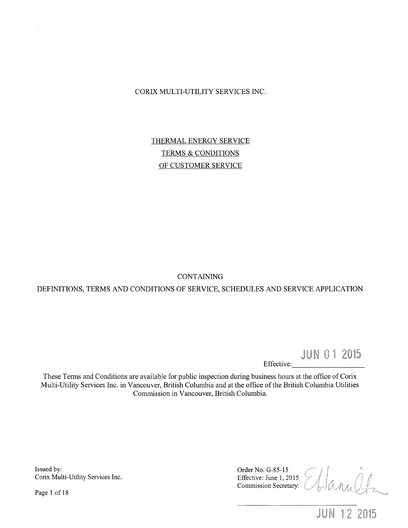CORIX MULTI-UTILITY SERVICES INC.

THERMAL ENERGY SERVICE TERMS & CONDITIONS OF CUSTOMER SERVICE

**CONTAINING** 

DEFINITIONS, TERMS AND CONDITIONS OF SERVICE, SCHEDULES AND SERVICE APPLICATION

**JUN 01 2015** 

Effective:

These Terms and Conditions are available for public inspection during business hours at the office of Corix Multi-Utility Services Inc. in Vancouver, British Columbia and at the office of the British Columbia Utilities Commission in Vancouver, British Columbia.

Issued by: Corix Multi-Utility Services Inc.

Page 1 of 18

Order No. G-85-15 Effective: June 1, 2015 Commission Secretary:

**JUN 12 2015**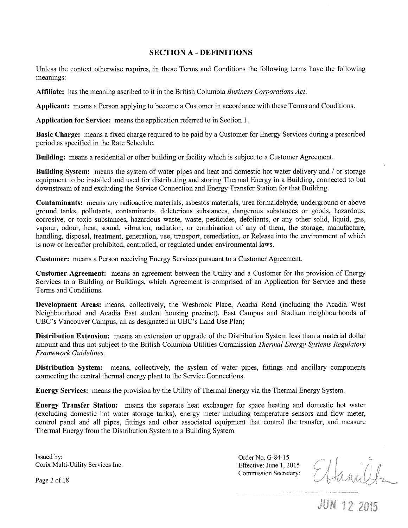### **SECTION A- DEFINITIONS**

Unless the context otherwise requires, in these Terms and Conditions the following terms have the following meanings:

**Affiliate:** has the meaning ascribed to it in the British Columbia *Business Corporations Act.* 

**Applicant:** means a Person applying to become a Customer in accordance with these Terms and Conditions.

**Application for Service:** means the application referred to in Section 1.

**Basic Charge:** means a fixed charge required to be paid by a Customer for Energy Services during a prescribed period as specified in the Rate Schedule.

**Building:** means a residential or other building or facility which is subject to a Customer Agreement.

**Building System:** means the system of water pipes and heat and domestic hot water delivery and / or storage equipment to be installed and used for distributing and storing Thermal Energy in a Building, connected to but downstream of and excluding the Service Connection and Energy Transfer Station for that Building.

**Contaminants:** means any radioactive materials, asbestos materials, urea formaldehyde, underground or above ground tanks, pollutants, contaminants, deleterious substances, dangerous substances or goods, hazardous, corrosive, or toxic substances, hazardous waste, waste, pesticides, defoliants, or any other solid, liquid, gas, vapour, odour, heat, sound, vibration, radiation, or combination of any of them, the storage, manufacture, handling, disposal, treatment, generation, use, transport, remediation, or Release into the environment of which is now or hereafter prohibited, controlled, or regulated under environmental laws.

**Customer:** means a Person receiving Energy Services pursuant to a Customer Agreement.

**Customer Agreement:** means an agreement between the Utility and a Customer for the provision of Energy Services to a Building or Buildings, which Agreement is comprised of an Application for Service and these Terms and Conditions.

**Development Areas:** means, collectively, the Wesbrook Place, Acadia Road (including the Acadia West Neighbourhood and Acadia East student housing precinct), East Campus and Stadium neighbourhoods of UBC's Vancouver Campus, all as designated in UBC's Land Use Plan;

**Distribution Extension:** means an extension or upgrade of the Distribution System less than a material dollar amount and thus not subject to the British Columbia Utilities Commission *Thermal Energy Systems Regulatory Framework Guidelines.* 

**Distribution System:** means, collectively, the system of water pipes, fittings and ancillary components connecting the central thermal energy plant to the Service Connections.

**Energy Services:** means the provision by the Utility of Thermal Energy via the Thermal Energy System.

**Energy Transfer Station:** means the separate heat exchanger for space heating and domestic hot water (excluding domestic hot water storage tanks), energy meter including temperature sensors and flow meter, control panel and all pipes, fittings and other associated equipment that control the transfer, and measure Thermal Energy from the Distribution System to a Building System.

Issued by: Corix Multi-Utility Services Inc. Order No. G-84-15 Effective: June 1, 2015 Commission Secretary:

Ethannetz<br>JUN 12 2015

Page 2 of 18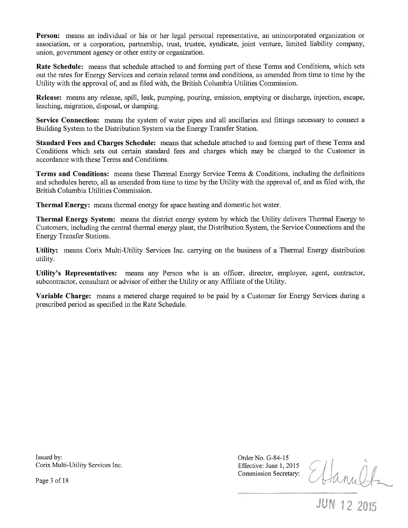Person: means an individual or his or her legal personal representative, an unincorporated organization or association, or a corporation, partnership, trust, trustee, syndicate, joint venture, limited liability company, union, government agency or other entity or organization.

**Rate Schedule:** means that schedule attached to and forming part of these Terms and Conditions, which sets out the rates for Energy Services and certain related terms and conditions, as amended from time to time by the Utility with the approval of, and as filed with, the British Columbia Utilities Commission.

**Release:** means any release, spill, leak, pumping, pouring, emission, emptying or discharge, injection, escape, leaching, migration, disposal, or dumping.

**Service Connection:** means the system of water pipes and all ancillaries and fittings necessary to connect a Building System to the Distribution System via the Energy Transfer Station.

**Standard Fees and Charges Schedule:** means that schedule attached to and forming part of these Terms and Conditions which sets out certain standard fees and charges which may be charged to the Customer in accordance with these Terms and Conditions.

**Terms and Conditions:** means these Thermal Energy Service Terms & Conditions, including the definitions and schedules hereto, all as amended from time to time by the Utility with the approval of, and as filed with, the British Columbia Utilities Commission.

**Thermal Energy:** means thermal energy for space heating and domestic hot water.

**Thermal Energy System:** means the district energy system by which the Utility delivers Thermal Energy to Customers, including the central thermal energy plant, the Distribution System, the Service Connections and the Energy Transfer Stations.

**Utility:** means Corix Multi-Utility Services Inc. carrying on the business of a Thermal Energy distribution utility.

**Utility's Representatives:** means any Person who is an officer, director, employee, agent, contractor, subcontractor, consultant or advisor of either the Utility or any Affiliate of the Utility.

**Variable Charge:** means a metered charge required to be paid by a Customer for Energy Services during a prescribed period as specified in the Rate Schedule.

Issued by: Corix Multi-Utility Services Inc. Order No. G-84-15 Effective: June 1, 2015 Commission Secretary:

Ettanultz

Page 3 of 18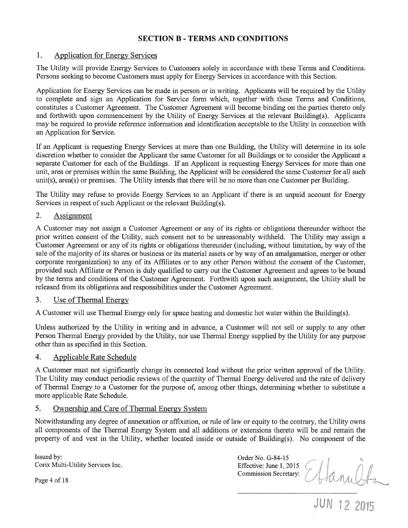# **SECTION B - TERMS AND CONDITIONS**

### 1. Application for Energy Services

The Utility will provide Energy Services to Customers solely in accordance with these Terms and Conditions. Persons seeking to become Customers must apply for Energy Services in accordance with this Section.

Application for Energy Services can be made in person or in writing. Applicants will be required by the Utility to complete and sign an Application for Service form which, together with these Terms and Conditions, constitutes a Customer Agreement. The Customer Agreement will become binding on the parties thereto only and forthwith upon commencement by the Utility of Energy Services at the relevant Building(s). Applicants may be required to provide reference information and identification acceptable to the Utility in connection with an Application for Service.

If an Applicant is requesting Energy Services at more than one Building, the Utility will determine in its sole discretion whether to consider the Applicant the same Customer for all Buildings or to consider the Applicant a separate Customer for each of the Buildings. If an Applicant is requesting Energy Services for more than one unit, area or premises within the same Building, the Applicant will be considered the same Customer for all such unit(s), area(s) or premises. The Utility intends that there will be no more than one Customer per Building.

The Utility may refuse to provide Energy Services to an Applicant if there is an unpaid account for Energy Services in respect of such Applicant or the relevant Building(s).

### 2. Assignment

A Customer may not assign a Customer Agreement or any of its rights or obligations thereunder without the prior written consent of the Utility, such consent not to be unreasonably withheld. The Utility may assign a Customer Agreement or any of its rights or obligations thereunder (including, without limitation, by way of the sale of the majority of its shares or business or its material assets or by way of an amalgamation, merger or other corporate reorganization) to any of its Affiliates or to any other Person without the consent of the Customer, provided such Affiliate or Person is duly qualified to carry out the Customer Agreement and agrees to be bound by the terms and conditions of the Customer Agreement. Forthwith upon such assignment, the Utility shall be released from its obligations and responsibilities under the Customer Agreement.

#### 3. Use of Thermal Energy

A Customer will use Thermal Energy only for space heating and domestic hot water within the Building(s).

Unless authorized by the Utility in writing and in advance, a Customer will not sell or supply to any other Person Thermal Energy provided by the Utility, nor use Thermal Energy supplied by the Utility for any purpose other than as specified in this Section.

### 4. Applicable Rate Schedule

A Customer must not significantly change its connected load without the prior written approval of the Utility. The Utility may conduct periodic reviews of the quantity of Thermal Energy delivered and the rate of delivery of Thermal Energy to a Customer for the purpose of, among other things, determining whether to substitute a more applicable Rate Schedule.

## 5. Ownership and Care of Thermal Energy System

Notwithstanding any degree of annexation or affixation, or rule of law or equity to the contrary, the Utility owns all components of the Thermal Energy System and all additions or extensions thereto will be and remain the property of and vest in the Utility, whether located inside or outside of Building(s). No component of the

Issued by: Corix Multi-Utility Services Inc.

Order No. G-84-15 Effective: June 1, 2015 Commission Secretary:

Page 4 of 18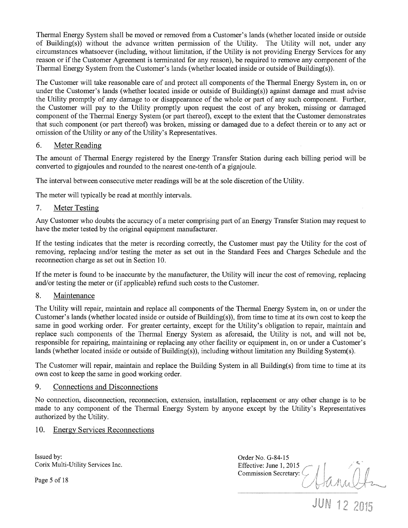Thermal Energy System shall be moved or removed from a Customer's lands (whether located inside or outside of Building(s)) without the advance written permission of the Utility. The Utility will not, under any circumstances whatsoever (including, without limitation, if the Utility is not providing Energy Services for any reason or if the Customer Agreement is terminated for any reason), be required to remove any component of the Thermal Energy System from the Customer's lands (whether located inside or outside of Building(s)).

The Customer will take reasonable care of and protect all components of the Thermal Energy System in, on or under the Customer's lands (whether located inside or outside of Building(s)) against damage and must advise the Utility promptly of any damage to or disappearance of the whole or part of any such component. Further, the Customer will pay to the Utility promptly upon request the cost of any broken, missing or damaged component of the Thermal Energy System (or part thereof), except to the extent that the Customer demonstrates that such component (or part thereof) was broken, missing or damaged due to a defect therein or to any act or omission of the Utility or any of the Utility's Representatives.

### 6. Meter Reading

The amount of Thermal Energy registered by the Energy Transfer Station during each billing period will be converted to gigajoules and rounded to the nearest one-tenth of a gigajoule.

The interval between consecutive meter readings will be at the sole discretion of the Utility.

The meter will typically be read at monthly intervals.

### 7. Meter Testing

Any Customer who doubts the accuracy of a meter comprising part of an Energy Transfer Station may request to have the meter tested by the original equipment manufacturer.

If the testing indicates that the meter is recording correctly, the Customer must pay the Utility for the cost of removing, replacing and/or testing the meter as set out in the Standard Fees and Charges Schedule and the reconnection charge as set out in Section 10.

If the meter is found to be inaccurate by the manufacturer, the Utility will incur the cost of removing, replacing and/or testing the meter or (if applicable) refund such costs to the Customer.

### 8. Maintenance

The Utility will repair, maintain and replace all components of the Thermal Energy System in, on or under the Customer's lands (whether located inside or outside of Building(s)), from time to time at its own cost to keep the same in good working order. For greater certainty, except for the Utility's obligation to repair, maintain and replace such components of the Thermal Energy System as aforesaid, the Utility is not, and will not be, responsible for repairing, maintaining or replacing any other facility or equipment in, on or under a Customer's lands (whether located inside or outside of Building(s)), including without limitation any Building System(s).

The Customer will repair, maintain and replace the Building System in all Building(s) from time to time at its own cost to keep the same in good working order.

### 9. Connections and Disconnections

No connection, disconnection, reconnection, extension, installation, replacement or any other change is to be made to any component of the Thermal Energy System by anyone except by the Utility's Representatives authorized by the Utility.

10. Energy Services Reconnections

Issued by: Corix Multi-Utility Services Inc.

Page 5 of 18

Order No. G-84-15 Effective: June 1, 2015 Commission Secretary: 0 Sanult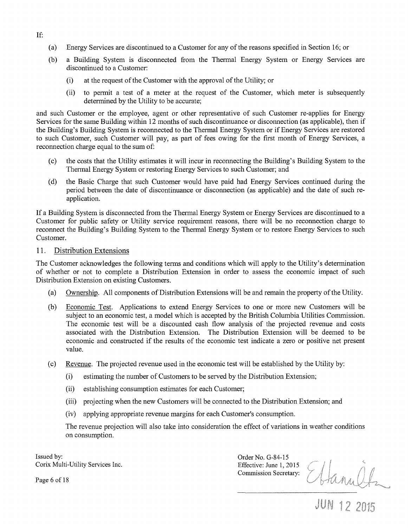- (a) Energy Services are discontinued to a Customer for any of the reasons specified in Section 16; or
- (b) a Building System is disconnected from the Thermal Energy System or Energy Services are discontinued to a Customer:
	- (i) at the request of the Customer with the approval of the Utility; or
	- (ii) to permit a test of a meter at the request of the Customer, which meter is subsequently determined by the Utility to be accurate;

and such Customer or the employee, agent or other representative of such Customer re-applies for Energy Services for the same Building within 12 months of such discontinuance or disconnection (as applicable), then if the Building's Building System is reconnected to the Thermal Energy System or if Energy Services are restored to such Customer, such Customer will pay, as part of fees owing for the first month of Energy Services, a reconnection charge equal to the sum of:

- (c) the costs that the Utility estimates it will incur in reconnecting the Building's Building System to the Thermal Energy System or restoring Energy Services to such Customer; and
- (d) the Basic Charge that such Customer would have paid had Energy Services continued during the period between the date of discontinuance or disconnection (as applicable) and the date of such reapplication.

If a Building System is disconnected from the Thermal Energy System or Energy Services are discontinued to a Customer for public safety or Utility service requirement reasons, there will be no reconnection charge to reconnect the Building's Building System to the Thermal Energy System or to restore Energy Services to such Customer.

### 11. Distribution Extensions

The Customer acknowledges the following terms and conditions which will apply to the Utility's determination of whether or not to complete a Distribution Extension in order to assess the economic impact of such Distribution Extension on existing Customers.

- (a) Ownership. All components of Distribution Extensions will be and remain the property of the Utility.
- (b) Economic Test. Applications to extend Energy Services to one or more new Customers will be subject to an economic test, a model which is accepted by the British Columbia Utilities Commission. The economic test will be a discounted cash flow analysis of the projected revenue and costs associated with the Distribution Extension. The Distribution Extension will be deemed to be economic and constructed if the results of the economic test indicate a zero or positive net present value.
- (c) Revenue. The projected revenue used in the economic test will be established by the Utility by:
	- (i) estimating the number of Customers to be served by the Distribution Extension;
	- (ii) establishing consumption estimates for each Customer;
	- (iii) projecting when the new Customers will be connected to the Distribution Extension; and
	- (iv) applying appropriate revenue margins for each Customer's consumption.

The revenue projection will also take into consideration the effect of variations in weather conditions on consumption.

Issued by: Corix Multi-Utility Services Inc. Order No. G-84-15 Commission Secretary:

Effective: June 1, 2015<br>Commission Secretary: Hannelfz

Page 6 of 18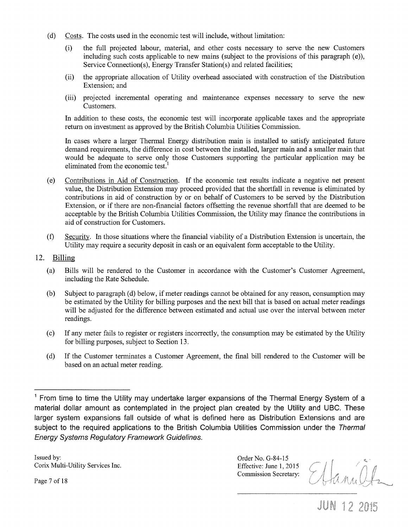- (d) Costs. The costs used in the economic test will include, without limitation:
	- (i) the full projected labour, material, and other costs necessary to serve the new Customers including such costs applicable to new mains (subject to the provisions of this paragraph (e)), Service Connection(s), Energy Transfer Station(s) and related facilities;
	- (ii) the appropriate allocation of Utility overhead associated with construction of the Distribution Extension; and
	- (iii) projected incremental operating and maintenance expenses necessary to serve the new Customers.

In addition to these costs, the economic test will incorporate applicable taxes and the appropriate return on investment as approved by the British Columbia Utilities Commission.

In cases where a larger Thermal Energy distribution main is installed to satisfy anticipated future demand requirements, the difference in cost between the installed, larger main and a smaller main that would be adequate to serve only those Customers supporting the particular application may be eliminated from the economic test.

- (e) Contributions in Aid of Construction. If the economic test results indicate a negative net present value, the Distribution Extension may proceed provided that the shortfall in revenue is eliminated by contributions in aid of construction by or on behalf of Customers to be served by the Distribution Extension, or if there are non-financial factors offsetting the revenue shortfall that are deemed to be acceptable by the British Columbia Utilities Commission, the Utility may finance the contributions in aid of construction for Customers.
- (f) Security. In those situations where the financial viability of a Distribution Extension is uncertain, the Utility may require a security deposit in cash or an equivalent form acceptable to the Utility.
- 12. Billing
	- (a) Bills will be rendered to the Customer in accordance with the Customer's Customer Agreement, including the Rate Schedule.
	- (b) Subject to paragraph (d) below, if meter readings cannot be obtained for any reason, consumption may be estimated by the Utility for billing purposes and the next bill that is based on actual meter readings will be adjusted for the difference between estimated and actual use over the interval between meter readings.
	- (c) If any meter fails to register or registers incorrectly, the consumption may be estimated by the Utility for billing purposes, subject to Section 13.
	- (d) If the Customer terminates a Customer Agreement, the final bill rendered to the Customer will be based on an actual meter reading.

Issued by: Corix Multi-Utility Services Inc. Order No. G-84-15 Effective: June 1, 2015 Commission Secretary:

Ettanilf.

**JUN 12 2015** 

Page 7 of 18

 $1$  From time to time the Utility may undertake larger expansions of the Thermal Energy System of a material dollar amount as contemplated in the project plan created by the Utility and UBC. These larger system expansions fall outside of what is defined here as Distribution Extensions and are subject to the required applications to the British Columbia Utilities Commission under the Thermal Energy Systems Regulatory Framework Guidelines.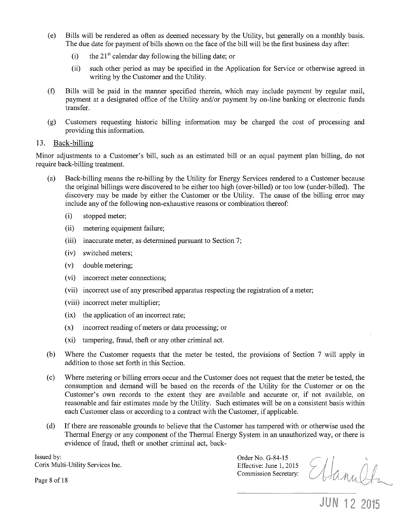- (e) Bills will be rendered as often as deemed necessary by the Utility, but generally on a monthly basis. The due date for payment of bills shown on the face of the bill will be the first business day after:
	- (i) the  $21<sup>st</sup>$  calendar day following the billing date; or
	- (ii) such other period as may be specified in the Application for Service or otherwise agreed in writing by the Customer and the Utility.
- (f) Bills will be paid in the manner specified therein, which may include payment by regular mail, payment at a designated office of the Utility and/or payment by on-line banking or electronic funds transfer.
- (g) Customers requesting historic billing information may be charged the cost of processing and providing this information.

#### 13. Back-billing

Minor adjustments to a Customer's bill, such as an estimated bill or an equal payment plan billing, do not require back-billing treatment.

- (a) Back-billing means the re-billing by the Utility for Energy Services rendered to a Customer because the original billings were discovered to be either too high (over-billed) or too low (under-billed). The discovery may be made by either the Customer or the Utility. The cause of the billing error may include any of the following non-exhaustive reasons or combination thereof:
	- (i) stopped meter;
	- (ii) metering equipment failure;
	- (iii) inaccurate meter, as determined pursuant to Section 7;
	- (iv) switched meters;
	- (v) double metering;
	- (vi) incorrect meter connections;
	- (vii) incorrect use of any prescribed apparatus respecting the registration of a meter;
	- (viii) incorrect meter multiplier;
	- (ix) the application of an incorrect rate;
	- (x) incorrect reading of meters or data processing; or
	- (xi) tampering, fraud, theft or any other criminal act.
- (b) Where the Customer requests that the meter be tested, the provisions of Section 7 will apply in addition to those set forth in this Section.
- (c) Where metering or billing errors occur and the Customer does not request that the meter be tested, the consumption and demand will be based on the records of the Utility for the Customer or on the Customer's own records to the extent they are available and accurate or, if not available, on reasonable and fair estimates made by the Utility. Such estimates will be on a consistent basis within each Customer class or according to a contract with the Customer, if applicable.
- (d) If there are reasonable grounds to believe that the Customer has tampered with or otherwise used the Thermal Energy or any component of the Thermal Energy System in an unauthorized way, or there is evidence of fraud, theft or another criminal act, back-

Issued by: Corix Multi-Utility Services Inc. Order No. G-84-15 Commission Secretary:

Order No. G-84-15<br>
Effective: June 1, 2015<br>
Commission Secretary: Hannel H2

Page 8 of 18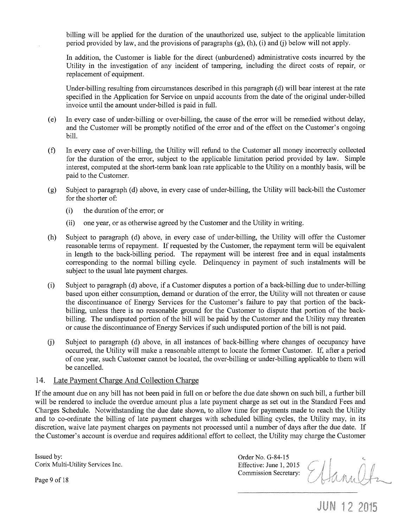billing will be applied for the duration of the unauthorized use, subject to the applicable limitation period provided by law, and the provisions of paragraphs (g), (h), (i) and (j) below will not apply.

In addition, the Customer is liable for the direct (unburdened) administrative costs incurred by the Utility in the investigation of any incident of tampering, including the direct costs of repair, or replacement of equipment.

Under-billing resulting from circumstances described in this paragraph (d) will bear interest at the rate specified in the Application for Service on unpaid accounts from the date of the original under-billed invoice until the amount under-billed is paid in full.

- (e) In every case of under-billing or over-billing, the cause of the error will be remedied without delay, and the Customer will be promptly notified of the error and of the effect on the Customer's ongoing bill.
- (f) In every case of over-billing, the Utility will refund to the Customer all money incorrectly collected for the duration of the error, subject to the applicable limitation period provided by law. Simple interest, computed at the short-term bank loan rate applicable to the Utility on a monthly basis, will be paid to the Customer.
- (g) Subject to paragraph (d) above, in every case of under-billing, the Utility will back-bill the Customer for the shorter of:
	- (i) the duration of the error; or
	- (ii) one year, or as otherwise agreed by the Customer and the Utility in writing.
- (h) Subject to paragraph (d) above, in every case of under-billing, the Utility will offer the Customer reasonable terms of repayment. If requested by the Customer, the repayment term will be equivalent in length to the back-billing period. The repayment will be interest free and in equal instalments corresponding to the normal billing cycle. Delinquency in payment of such instalments will be subject to the usual late payment charges.
- (i) Subject to paragraph (d) above, if a Customer disputes a portion of a back-billing due to under-billing based upon either consumption, demand or duration of the error, the Utility will not threaten or cause the discontinuance of Energy Services for the Customer's failure to pay that portion of the backbilling, unless there is no reasonable ground for the Customer to dispute that portion of the backbilling. The undisputed portion of the bill will be paid by the Customer and the Utility may threaten or cause the discontinuance of Energy Services if such undisputed portion of the bill is not paid.
- (j) Subject to paragraph (d) above, in all instances of back-billing where changes of occupancy have occurred, the Utility will make a reasonable attempt to locate the former Customer. If, after a period of one year, such Customer cannot be located, the over-billing or under-billing applicable to them will be cancelled.

#### 14. Late Payment Charge And Collection Charge

If the amount due on any bill has not been paid in full on or before the due date shown on such bill, a further bill will be rendered to include the overdue amount plus a late payment charge as set out in the Standard Fees and Charges Schedule. Notwithstanding the due date shown, to allow time for payments made to reach the Utility and to co-ordinate the billing of late payment charges with scheduled billing cycles, the Utility may, in its discretion, waive late payment charges on payments not processed until a number of days after the due date. If the Customer's account is overdue and requires additional effort to collect, the Utility may charge the Customer

Issued by: Corix Multi-Utility Services Inc.

Order No. G-84-15 Effective: June 1, 2015 Commission Secretary:

Ellanult

**JUN 12 2015** 

Page 9 of 18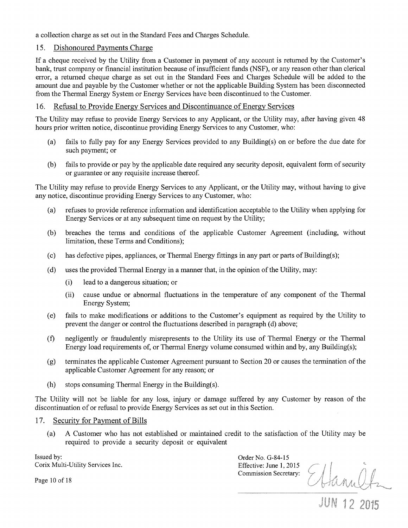a collection charge as set out in the Standard Fees and Charges Schedule.

## 15. Dishonoured Payments Charge

If a cheque received by the Utility from a Customer in payment of any account is returned by the Customer's bank, trust company or financial institution because of insufficient funds (NSF), or any reason other than clerical error, a returned cheque charge as set out in the Standard Fees and Charges Schedule will be added to the amount due and payable by the Customer whether or not the applicable Building System has been disconnected from the Thermal Energy System or Energy Services have been discontinued to the Customer.

### 16. Refusal to Provide Energy Services and Discontinuance of Energy Services

The Utility may refuse to provide Energy Services to any Applicant, or the Utility may, after having given 48 hours prior written notice, discontinue providing Energy Services to any Customer, who:

- (a) fails to fully pay for any Energy Services provided to any Building(s) on or before the due date for such payment; or
- (b) fails to provide or pay by the applicable date required any security deposit, equivalent form of security or guarantee or any requisite increase thereof.

The Utility may refuse to provide Energy Services to any Applicant, or the Utility may, without having to give any notice, discontinue providing Energy Services to any Customer, who:

- (a) refuses to provide reference information and identification acceptable to the Utility when applying for Energy Services or at any subsequent time on request by the Utility;
- (b) breaches the terms and conditions of the applicable Customer Agreement (including, without limitation, these Terms and Conditions);
- $(c)$  has defective pipes, appliances, or Thermal Energy fittings in any part or parts of Building(s);
- (d) uses the provided Thermal Energy in a manner that, in the opinion of the Utility, may:
	- (i) lead to a dangerous situation; or
	- (ii) cause undue or abnormal fluctuations in the temperature of any component of the Thermal Energy System;
- (e) fails to make modifications or additions to the Customer's equipment as required by the Utility to prevent the danger or control the fluctuations described in paragraph (d) above;
- (f) negligently or fraudulently misrepresents to the Utility its use of Thermal Energy or the Thermal Energy load requirements of, or Thermal Energy volume consumed within and by, any Building(s);
- (g) terminates the applicable Customer Agreement pursuant to Section 20 or causes the termination of the applicable Customer Agreement for any reason; or
- (h) stops consuming Thermal Energy in the Building(s).

The Utility will not be liable for any loss, injury or damage suffered by any Customer by reason of the discontinuation of or refusal to provide Energy Services as set out in this Section.

### 17. Security for Payment of Bills

(a) A Customer who has not established or maintained credit to the satisfaction of the Utility may be required to provide a security deposit or equivalent

Issued by: Corix Multi-Utility Services Inc. Order No. G-84-15 Commission Secretary:

Effective: June 1, 2015<br>Commission Secretary: Hanneltz

Page 10 of 18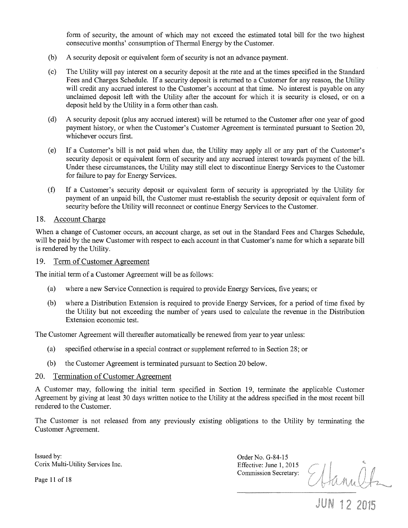form of security, the amount of which may not exceed the estimated total bill for the two highest consecutive months' consumption of Thermal Energy by the Customer.

- (b) A security deposit or equivalent form of security is not an advance payment.
- (c) The Utility will pay interest on a security deposit at the rate and at the times specified in the Standard Fees and Charges Schedule. If a security deposit is returned to a Customer for any reason, the Utility will credit any accrued interest to the Customer's account at that time. No interest is payable on any unclaimed deposit left with the Utility after the account for which it is security is closed, or on a deposit held by the Utility in a form other than cash.
- (d) A security deposit (plus any accrued interest) will be returned to the Customer after one year of good payment history, or when the Customer's Customer Agreement is terminated pursuant to Section 20, whichever occurs first.
- (e) If a Customer's bill is not paid when due, the Utility may apply all or any part of the Customer's security deposit or equivalent form of security and any accrued interest towards payment of the bill. Under these circumstances, the Utility may still elect to discontinue Energy Services to the Customer for failure to pay for Energy Services.
- (f) If a Customer's security deposit or equivalent form of security is appropriated by the Utility for payment of an unpaid bill, the Customer must re-establish the security deposit or equivalent form of security before the Utility will reconnect or continue Energy Services to the Customer.

#### 18. Account Charge

When a change of Customer occurs, an account charge, as set out in the Standard Fees and Charges Schedule, will be paid by the new Customer with respect to each account in that Customer's name for which a separate bill is rendered by the Utility.

#### 19. Term of Customer Agreement

The initial term of a Customer Agreement will be as follows:

- (a) where a new Service Connection is required to provide Energy Services, five years; or
- (b) where .a Distribution Extension is required to provide Energy Services, for a period of time fixed by the Utility but not exceeding the number of years used to calculate the revenue in the Distribution Extension economic test.

The Customer Agreement will thereafter automatically be renewed from year to year unless:

- (a) specified otherwise in a special contract or supplement referred to in Section 28; or
- (b) the Customer Agreement is terminated pursuant to Section 20 below.

#### 20. Termination of Customer Agreement

A Customer may, following the initial term specified in Section 19, terminate the applicable Customer Agreement by giving at least 30 days written notice to the Utility at the address specified in the most recent bill rendered to the Customer.

The Customer is not released from any previously existing obligations to the Utility by terminating the Customer Agreement.

Issued by: Corix Multi-Utility Services Inc.

Order No. G-84-15 Effective: June 1, 2015 Commission Secretary:

Ettanultz

#### Page 11 of 18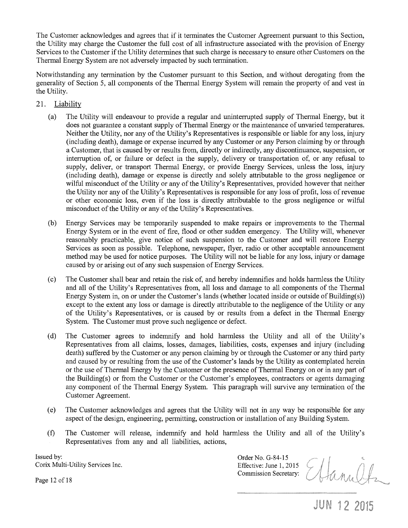The Customer acknowledges and agrees that if it terminates the Customer Agreement pursuant to this Section, the Utility may charge the Customer the full cost of all infrastructure associated with the provision of Energy Services to the Customer if the Utility determines that such charge is necessary to ensure other Customers on the Thermal Energy System are not adversely impacted by such termination.

Notwithstanding any termination by the Customer pursuant to this Section, and without derogating from the generality of Section 5, all components of the Thermal Energy System will remain the property of and vest in the Utility.

- 21. Liability
	- (a) The Utility will endeavour to provide a regular and uninterrupted supply of Thermal Energy, but it does not guarantee a constant supply of Thermal Energy or the maintenance of unvaried temperatures. Neither the Utility, nor any of the Utility's Representatives is responsible or liable for any loss, injury (including death), damage or expense incurred by any Customer or any Person claiming by or through a Customer, that is caused by or results from, directly or indirectly, any discontinuance, suspension, or interruption of, or failure or defect in the supply, delivery or transportation of, or any refusal to supply, deliver, or transport Thermal Energy, or provide Energy Services, unless the loss, injury (including death), damage or expense is directly and solely attributable to the gross negligence or wilful misconduct of the Utility or any of the Utility's Representatives, provided however that neither the Utility nor any of the Utility's Representatives is responsible for any loss of profit, loss of revenue or other economic loss, even if the loss is directly attributable to the gross negligence or wilful misconduct of the Utility or any of the Utility's Representatives.
	- (b) Energy Services may be temporarily suspended to make repairs or improvements to the Thermal Energy System or in the event of fire, flood or other sudden emergency. The Utility will, whenever reasonably practicable, give notice of such suspension to the Customer and will restore Energy Services as soon as possible. Telephone, newspaper, flyer, radio or other acceptable announcement method may be used for notice purposes. The Utility will not be liable for any loss, injury or damage caused by or arising out of any such suspension of Energy Services.
	- (c) The Customer shall bear and retain the risk ot: and hereby indemnifies and holds harmless the Utility and all of the Utility's Representatives from, all loss and damage to all components of the Thermal Energy System in, on or under the Customer's lands (whether located inside or outside of Building(s)) except to the extent any loss or damage is directly attributable to the negligence of the Utility or any of the Utility's Representatives, or is caused by or results from a defect in the Thermal Energy System. The Customer must prove such negligence or defect.
	- (d) The Customer agrees to indemnify and hold harmless the Utility and all of the Utility's Representatives from all claims, losses, damages, liabilities, costs, expenses and injury (including death) suffered by the Customer or any person claiming by or through the Customer or any third party and caused by or resulting from the use of the Customer's lands by the Utility as contemplated herein or the use of Thermal Energy by the Customer or the presence of Thermal Energy on or in any part of the Building(s) or from the Customer or the Customer's employees, contractors or agents damaging any component of the Thermal Energy System. This paragraph will survive any termination of the Customer Agreement.
	- (e) The Customer acknowledges and agrees that the Utility will not in any way be responsible for any aspect of the design, engineering, permitting, construction or installation of any Building System.
	- (f) The Customer will release, indemnify and hold harmless the Utility and all of the Utility's Representatives from any and all liabilities, actions,

Issued by: Corix Multi-Utility Services Inc. Order No. G-84-15 Effective: June 1, 2015 Commission Secretary:

Page 12 of 18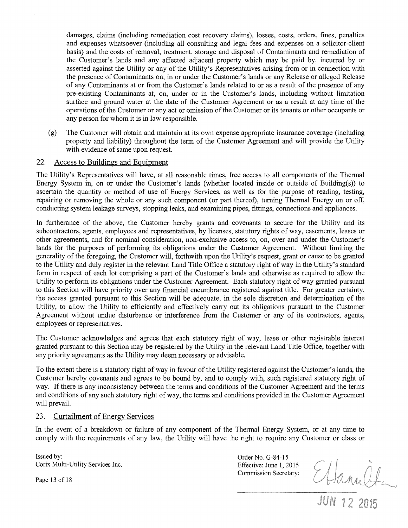damages, claims (including remediation cost recovery claims), losses, costs, orders, fines, penalties and expenses whatsoever (including all consulting and legal fees and expenses on a solicitor-client basis) and the costs of removal, treatment, storage and disposal of Contaminants and remediation of the Customer's lands and any affected adjacent property which may be paid by, incurred by or asserted against the Utility or any of the Utility's Representatives arising from or in connection with the presence of Contaminants on, in or under the Customer's lands or any Release or alleged Release of any Contaminants at or from the Customer's lands related to or as a result of the presence of any pre-existing Contaminants at, on, under or in the Customer's lands, including without limitation surface and ground water at the date of the Customer Agreement or as a result at any time of the operations of the Customer or any act or omission of the Customer or its tenants or other occupants or any person for whom it is in law responsible.

(g) The Customer will obtain and maintain at its own expense appropriate insurance coverage (including property and liability) throughout the term of the Customer Agreement and will provide the Utility with evidence of same upon request.

### 22. Access to Buildings and Equipment

The Utility's Representatives will have, at all reasonable times, free access to all components of the Thermal Energy System in, on or under the Customer's lands (whether located inside or outside of Building(s)) to ascertain the quantity or method of use of Energy Services, as well as for the purpose of reading, testing, repairing or removing the whole or any such component (or part thereof), turning Thermal Energy on or off, conducting system leakage surveys, stopping leaks, and examining pipes, fittings, connections and appliances.

In furtherance of the above, the Customer hereby grants and covenants to secure for the Utility and its subcontractors, agents, employees and representatives, by licenses, statutory rights of way, easements, leases or other agreements, and for nominal consideration, non-exclusive access to, on, over and under the Customer's lands for the purposes of performing its obligations under the Customer Agreement. Without limiting the generality of the foregoing, the Customer will, forthwith upon the Utility's request, grant or cause to be granted to the Utility and duly register in the relevant Land Title Office a statutory right of way in the Utility's standard form in respect of each lot comprising a part of the Customer's lands and otherwise as required to allow the Utility to perform its obligations under the Customer Agreement. Each statutory right of way granted pursuant to this Section will have priority over any financial encumbrance registered against title. For greater certainty, the access granted pursuant to this Section will be adequate, in the sole discretion and determination of the Utility, to allow the Utility to efficiently and effectively carry out its obligations pursuant to the Customer Agreement without undue disturbance or interference from the Customer or any of its contractors, agents, employees or representatives.

The Customer acknowledges and agrees that each statutory right of way, lease or other registrable interest granted pursuant to this Section may be registered by the Utility in the relevant Land Title Office, together with any priority agreements as the Utility may deem necessary or advisable.

To the extent there is a statutory right of way in favour of the Utility registered against the Customer's lands, the Customer hereby covenants and agrees to be bound by, and to comply with, such registered statutory right of way. If there is any inconsistency between the terms and conditions of the Customer Agreement and the terms and conditions of any such statutory right of way, the terms and conditions provided in the Customer Agreement will prevail.

#### 23. Curtailment of Energy Services

In the event of a breakdown or failure of any component of the Thermal Energy System, or at any time to comply with the requirements of any law, the Utility will have the right to require any Customer or class or

Issued by: Corix Multi-Utility Services Inc. Order No. G-84-15 Effective: June 1, 2015 Commission Secretary:

Ettanultz

Page 13 of 18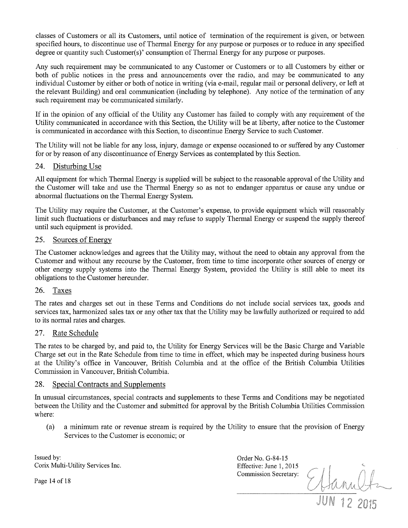classes of Customers or all its Customers, until notice of termination of the requirement is given, or between specified hours, to discontinue use of Thermal Energy for any purpose or purposes or to reduce in any specified degree or quantity such Customer(s)' consumption of Thermal Energy for any purpose or purposes.

Any such requirement may be communicated to any Customer or Customers or to all Customers by either or both of public notices in the press and announcements over the radio, and may be communicated to any individual Customer by either or both of notice in writing (via e-mail, regular mail or personal delivery, or left at the relevant Building) and oral communication (including by telephone). Any notice of the termination of any such requirement may be communicated similarly.

If in the opinion of any official of the Utility any Customer has failed to comply with any requirement of the Utility communicated in accordance with this Section, the Utility will be at liberty, after notice to the Customer is communicated in accordance with this Section, to discontinue Energy Service to such Customer.

The Utility will not be liable for any loss, injury, damage or expense occasioned to or suffered by any Customer for or by reason of any discontinuance of Energy Services as contemplated by this Section.

### 24. Disturbing Use

All equipment for which Thermal Energy is supplied will be subject to the reasonable approval of the Utility and the Customer will take and use the Thermal Energy so as not to endanger apparatus or cause any undue or abnormal fluctuations on the Thermal Energy System.

The Utility may require the Customer, at the Customer's expense, to provide equipment which will reasonably limit such fluctuations or disturbances and may refuse to supply Thermal Energy or suspend the supply thereof until such equipment is provided.

### 25. Sources of Energy

The Customer acknowledges and agrees that the Utility may, without the need to obtain any approval from the Customer and without any recourse by the Customer, from time to time incorporate other sources of energy or other energy supply systems into the Thermal Energy System, provided the Utility is still able to meet its obligations to the Customer hereunder.

### 26. Taxes

The rates and charges set out in these Terms and Conditions do not include social services tax, goods and services tax, harmonized sales tax or any other tax that the Utility may be lawfully authorized or required to add to its normal rates and charges.

### 27. Rate Schedule

The rates to be charged by, and paid to, the Utility for Energy Services will be the Basic Charge and Variable Charge set out in the Rate Schedule from time to time in effect, which may be inspected during business hours at the Utility's office in Vancouver, British Columbia and at the office of the British Columbia Utilities Commission in Vancouver, British Columbia.

#### 28. Special Contracts and Supplements

In unusual circumstances, special contracts and supplements to these Terms and Conditions may be negotiated between the Utility and the Customer and submitted for approval by the British Columbia Utilities Commission where:

(a) a minimum rate or revenue stream is required by the Utility to ensure that the provision of Energy Services to the Customer is economic; or

Issued by: Corix Multi-Utility Services Inc.

Page 14 of 18

Order No. G-84-15 Effective: June 1, 2015 Commission Secretary:

Sanult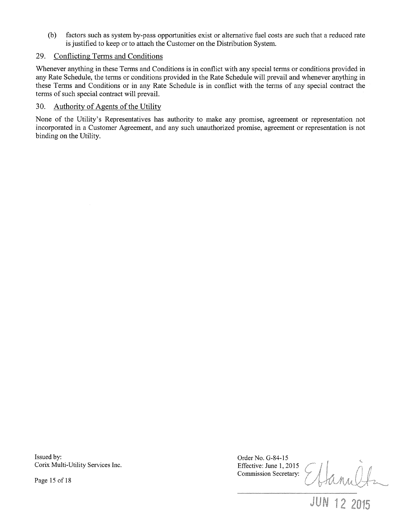(b) factors such as system by-pass opportunities exist or alternative fuel costs are such that a reduced rate is justified to keep or to attach the Customer on the Distribution System.

### 29. Conflicting Terms and Conditions

Whenever anything in these Terms and Conditions is in conflict with any special terms or conditions provided in any Rate Schedule, the terms or conditions provided in the Rate Schedule will prevail and whenever anything in these Terms and Conditions or in any Rate Schedule is in conflict with the terms of any special contract the terms of such special contract will prevail.

### 30. Authority of Agents of the Utility

None of the Utility's Representatives has authority to make any promise, agreement or representation not incorporated in a Customer Agreement, and any such unauthorized promise, agreement or representation is not binding on the Utility.

Issued by: Corix Multi-Utility Services Inc.

Page 15 of 18

Order No. G-84-15 Commission Secretary:

Effective: June 1, 2015<br>Commission Secretary: Elanelle<br>JUN 12 2015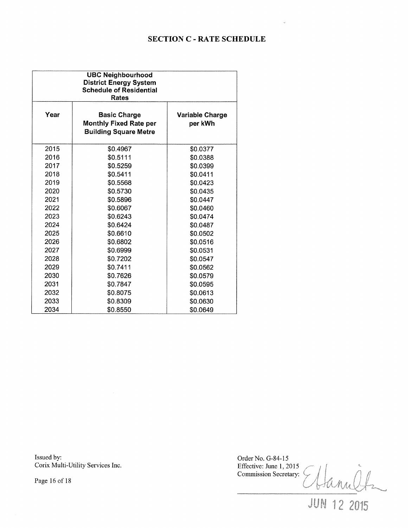# **SECTION** C - **RATE SCHEDULE**

| <b>UBC Neighbourhood</b><br><b>District Energy System</b><br><b>Schedule of Residential</b><br>Rates |                                                                                      |                                   |
|------------------------------------------------------------------------------------------------------|--------------------------------------------------------------------------------------|-----------------------------------|
| Year                                                                                                 | <b>Basic Charge</b><br><b>Monthly Fixed Rate per</b><br><b>Building Square Metre</b> | <b>Variable Charge</b><br>per kWh |
| 2015                                                                                                 | \$0.4967                                                                             | \$0.0377                          |
| 2016                                                                                                 | \$0.5111                                                                             | \$0.0388                          |
| 2017                                                                                                 | \$0.5259                                                                             | \$0.0399                          |
| 2018                                                                                                 | \$0.5411                                                                             | \$0.0411                          |
| 2019                                                                                                 | \$0.5568                                                                             | \$0.0423                          |
| 2020                                                                                                 | \$0.5730                                                                             | \$0.0435                          |
| 2021                                                                                                 | \$0.5896                                                                             | \$0.0447                          |
| 2022                                                                                                 | \$0.6067                                                                             | \$0.0460                          |
| 2023                                                                                                 | \$0.6243                                                                             | \$0.0474                          |
| 2024                                                                                                 | \$0.6424                                                                             | \$0.0487                          |
| 2025                                                                                                 | \$0.6610                                                                             | \$0.0502                          |
| 2026                                                                                                 | \$0.6802                                                                             | \$0.0516                          |
| 2027                                                                                                 | \$0.6999                                                                             | \$0.0531                          |
| 2028                                                                                                 | \$0.7202                                                                             | \$0.0547                          |
| 2029                                                                                                 | \$0.7411                                                                             | \$0.0562                          |
| 2030                                                                                                 | \$0.7626                                                                             | \$0.0579                          |
| 2031                                                                                                 | \$0.7847                                                                             | \$0.0595                          |
| 2032                                                                                                 | \$0.8075                                                                             | \$0.0613                          |
| 2033                                                                                                 | \$0.8309                                                                             | \$0.0630                          |
| 2034                                                                                                 | \$0.8550                                                                             | \$0.0649                          |

Issued by: Corix Multi-Utility Services Inc. Order No. G-84-15 Effective: June 1, 2015 Hamilta Commission Secretary:

Page 16 of 18

**JUN 12 2015**